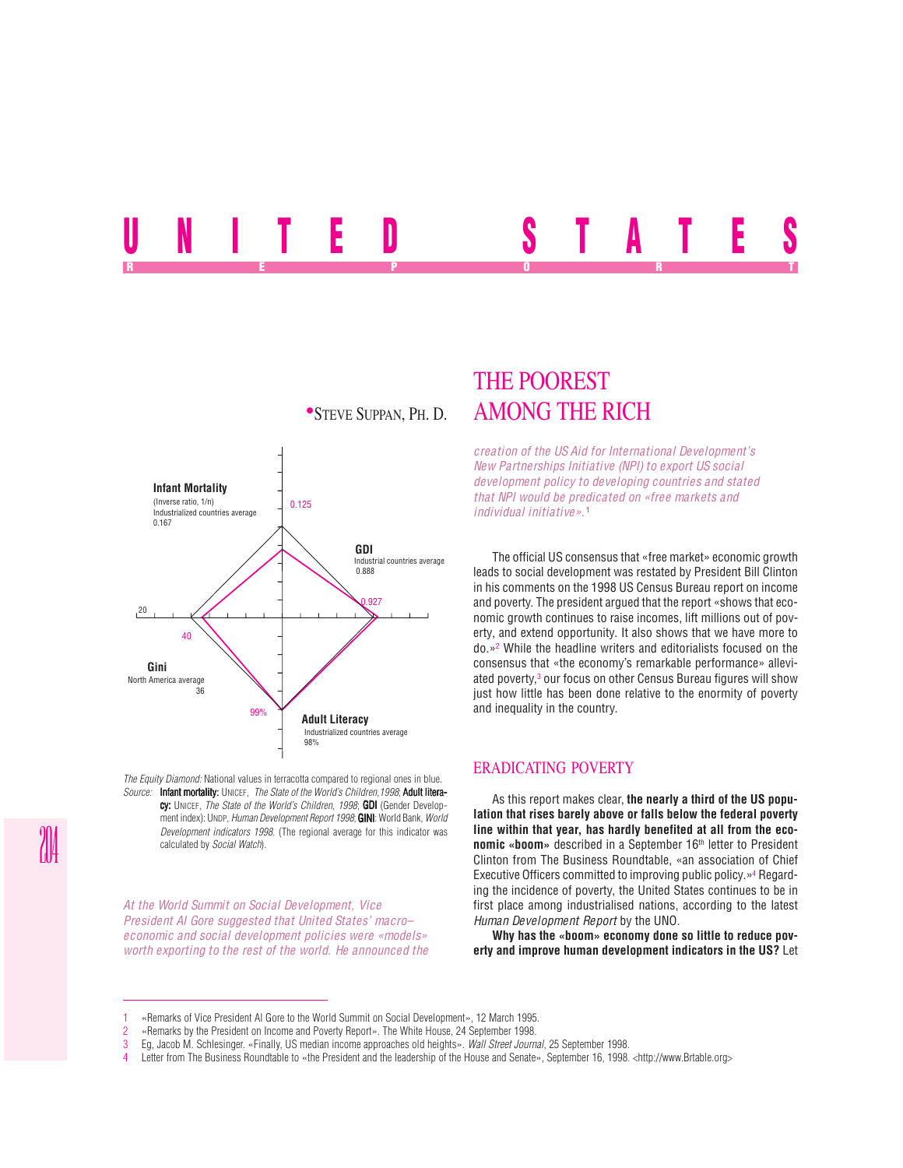# UNITED STATES REPORT OF STATE REPORT OF STATE REPORT OF STATE REPORT OF STATE REPORT OF STATE REPORT OF STATE REPORT OF STATE REPORT OF STATE REPORT OF STATE REPORT OF STATE REPORT OF STATE REPORT OF STATE REPORT OF STATE REPORT OF STAT



*The Equity Diamond:* National values in terracotta compared to regional ones in blue. *Source:* Infant mortality: UNICEF, *The State of the World's Children,1998*; Adult literacy: UNICEF, *The State of the World's Children, 1998*; GDI (Gender Development index): UNDP, *Human Development Report 1998*; **GINI:** World Bank, *World Development indicators 1998*. (The regional average for this indicator was calculated by *Social Watch*).

*At the World Summit on Social Development, Vice President Al Gore suggested that United States' macro– economic and social development policies were «models» worth exporting to the rest of the world. He announced the*

## THE POOREST **STEVE SUPPAN, PH. D. AMONG THE RICH**

*creation of the US Aid for International Development's New Partnerships Initiative (NPI) to export US social development policy to developing countries and stated that NPI would be predicated on «free markets and individual initiative».*<sup>1</sup>

The official US consensus that «free market» economic growth leads to social development was restated by President Bill Clinton in his comments on the 1998 US Census Bureau report on income and poverty. The president argued that the report «shows that economic growth continues to raise incomes, lift millions out of poverty, and extend opportunity. It also shows that we have more to do.»2 While the headline writers and editorialists focused on the consensus that «the economy's remarkable performance» alleviated poverty,<sup>3</sup> our focus on other Census Bureau figures will show just how little has been done relative to the enormity of poverty and inequality in the country.

#### ERADICATING POVERTY

As this report makes clear, **the nearly a third of the US population that rises barely above or falls below the federal poverty line within that year, has hardly benefited at all from the economic «boom»** described in a September 16<sup>th</sup> letter to President Clinton from The Business Roundtable, «an association of Chief Executive Officers committed to improving public policy.»4 Regarding the incidence of poverty, the United States continues to be in first place among industrialised nations, according to the latest *Human Development Report* by the UNO.

**Why has the «boom» economy done so little to reduce poverty and improve human development indicators in the US?** Let

<sup>1</sup> «Remarks of Vice President Al Gore to the World Summit on Social Development», 12 March 1995.

<sup>2</sup> «Remarks by the President on Income and Poverty Report». The White House, 24 September 1998. 3 Eg, Jacob M. Schlesinger. «Finally, US median income approaches old heights». *Wall Street Journal*, 25 September 1998.

Letter from The Business Roundtable to «the President and the leadership of the House and Senate», September 16, 1998. <http://www.Brtable.org>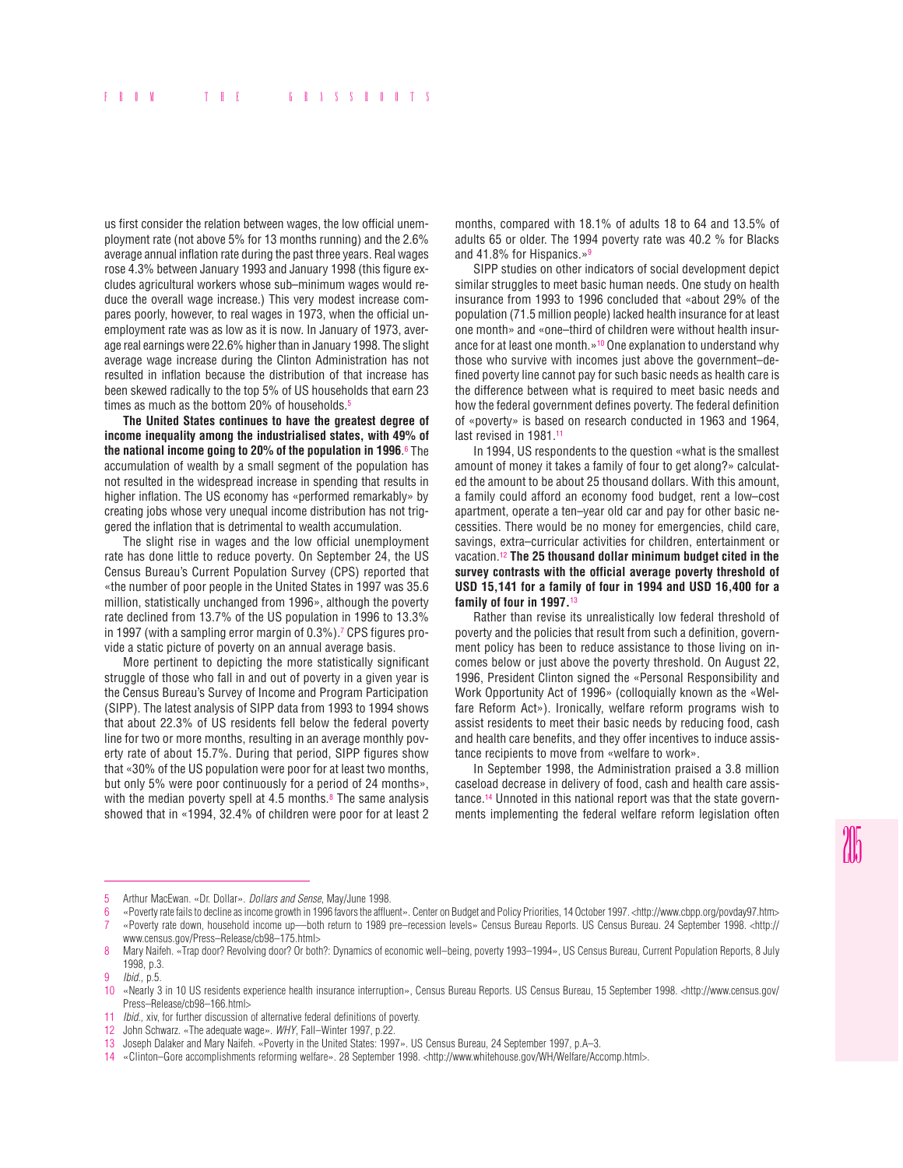us first consider the relation between wages, the low official unemployment rate (not above 5% for 13 months running) and the 2.6% average annual inflation rate during the past three years. Real wages rose 4.3% between January 1993 and January 1998 (this figure excludes agricultural workers whose sub–minimum wages would reduce the overall wage increase.) This very modest increase compares poorly, however, to real wages in 1973, when the official unemployment rate was as low as it is now. In January of 1973, average real earnings were 22.6% higher than in January 1998. The slight average wage increase during the Clinton Administration has not resulted in inflation because the distribution of that increase has been skewed radically to the top 5% of US households that earn 23 times as much as the bottom 20% of households.<sup>5</sup>

**The United States continues to have the greatest degree of income inequality among the industrialised states, with 49% of the national income going to 20% of the population in 1996.** $^{\circ}$  **The** accumulation of wealth by a small segment of the population has not resulted in the widespread increase in spending that results in higher inflation. The US economy has «performed remarkably» by creating jobs whose very unequal income distribution has not triggered the inflation that is detrimental to wealth accumulation.

The slight rise in wages and the low official unemployment rate has done little to reduce poverty. On September 24, the US Census Bureau's Current Population Survey (CPS) reported that «the number of poor people in the United States in 1997 was 35.6 million, statistically unchanged from 1996», although the poverty rate declined from 13.7% of the US population in 1996 to 13.3% in 1997 (with a sampling error margin of 0.3%).7 CPS figures provide a static picture of poverty on an annual average basis.

More pertinent to depicting the more statistically significant struggle of those who fall in and out of poverty in a given year is the Census Bureau's Survey of Income and Program Participation (SIPP). The latest analysis of SIPP data from 1993 to 1994 shows that about 22.3% of US residents fell below the federal poverty line for two or more months, resulting in an average monthly poverty rate of about 15.7%. During that period, SIPP figures show that «30% of the US population were poor for at least two months, but only 5% were poor continuously for a period of 24 months», with the median poverty spell at 4.5 months. $8$  The same analysis showed that in «1994, 32.4% of children were poor for at least 2 months, compared with 18.1% of adults 18 to 64 and 13.5% of adults 65 or older. The 1994 poverty rate was 40.2 % for Blacks and 41.8% for Hispanics.»9

SIPP studies on other indicators of social development depict similar struggles to meet basic human needs. One study on health insurance from 1993 to 1996 concluded that «about 29% of the population (71.5 million people) lacked health insurance for at least one month» and «one–third of children were without health insurance for at least one month.»10 One explanation to understand why those who survive with incomes just above the government–defined poverty line cannot pay for such basic needs as health care is the difference between what is required to meet basic needs and how the federal government defines poverty. The federal definition of «poverty» is based on research conducted in 1963 and 1964, last revised in 1981.<sup>11</sup>

In 1994, US respondents to the question «what is the smallest amount of money it takes a family of four to get along?» calculated the amount to be about 25 thousand dollars. With this amount, a family could afford an economy food budget, rent a low–cost apartment, operate a ten–year old car and pay for other basic necessities. There would be no money for emergencies, child care, savings, extra–curricular activities for children, entertainment or vacation.12 **The 25 thousand dollar minimum budget cited in the survey contrasts with the official average poverty threshold of USD 15,141 for a family of four in 1994 and USD 16,400 for a family of four in 1997.**<sup>13</sup>

Rather than revise its unrealistically low federal threshold of poverty and the policies that result from such a definition, government policy has been to reduce assistance to those living on incomes below or just above the poverty threshold. On August 22, 1996, President Clinton signed the «Personal Responsibility and Work Opportunity Act of 1996» (colloquially known as the «Welfare Reform Act»). Ironically, welfare reform programs wish to assist residents to meet their basic needs by reducing food, cash and health care benefits, and they offer incentives to induce assistance recipients to move from «welfare to work».

In September 1998, the Administration praised a 3.8 million caseload decrease in delivery of food, cash and health care assistance.14 Unnoted in this national report was that the state governments implementing the federal welfare reform legislation often

<sup>5</sup> Arthur MacEwan. «Dr. Dollar». *Dollars and Sense*, May/June 1998.

<sup>6</sup> «Poverty rate fails to decline as income growth in 1996 favors the affluent». Center on Budget and Policy Priorities, 14 October 1997. <http://www.cbpp.org/povday97.htm> 7 «Poverty rate down, household income up––both return to 1989 pre–recession levels» Census Bureau Reports. US Census Bureau. 24 September 1998. <http:// www.census.gov/Press–Release/cb98–175.html>

<sup>8</sup> Mary Naifeh. «Trap door? Revolving door? Or both?: Dynamics of economic well-being, poverty 1993-1994», US Census Bureau, Current Population Reports, 8 July 1998, p.3.

<sup>9</sup> *Ibid.,* p.5.

<sup>10 «</sup>Nearly 3 in 10 US residents experience health insurance interruption», Census Bureau Reports. US Census Bureau, 15 September 1998. <http://www.census.gov/ Press–Release/cb98–166.html>

<sup>11</sup> *Ibid.,* xiv, for further discussion of alternative federal definitions of poverty.

<sup>12</sup> John Schwarz. «The adequate wage». *WHY*, Fall–Winter 1997, p.22.

<sup>13</sup> Joseph Dalaker and Mary Naifeh. «Poverty in the United States: 1997». US Census Bureau, 24 September 1997, p.A–3.

<sup>14</sup> «Clinton–Gore accomplishments reforming welfare». 28 September 1998. <http://www.whitehouse.gov/WH/Welfare/Accomp.html>.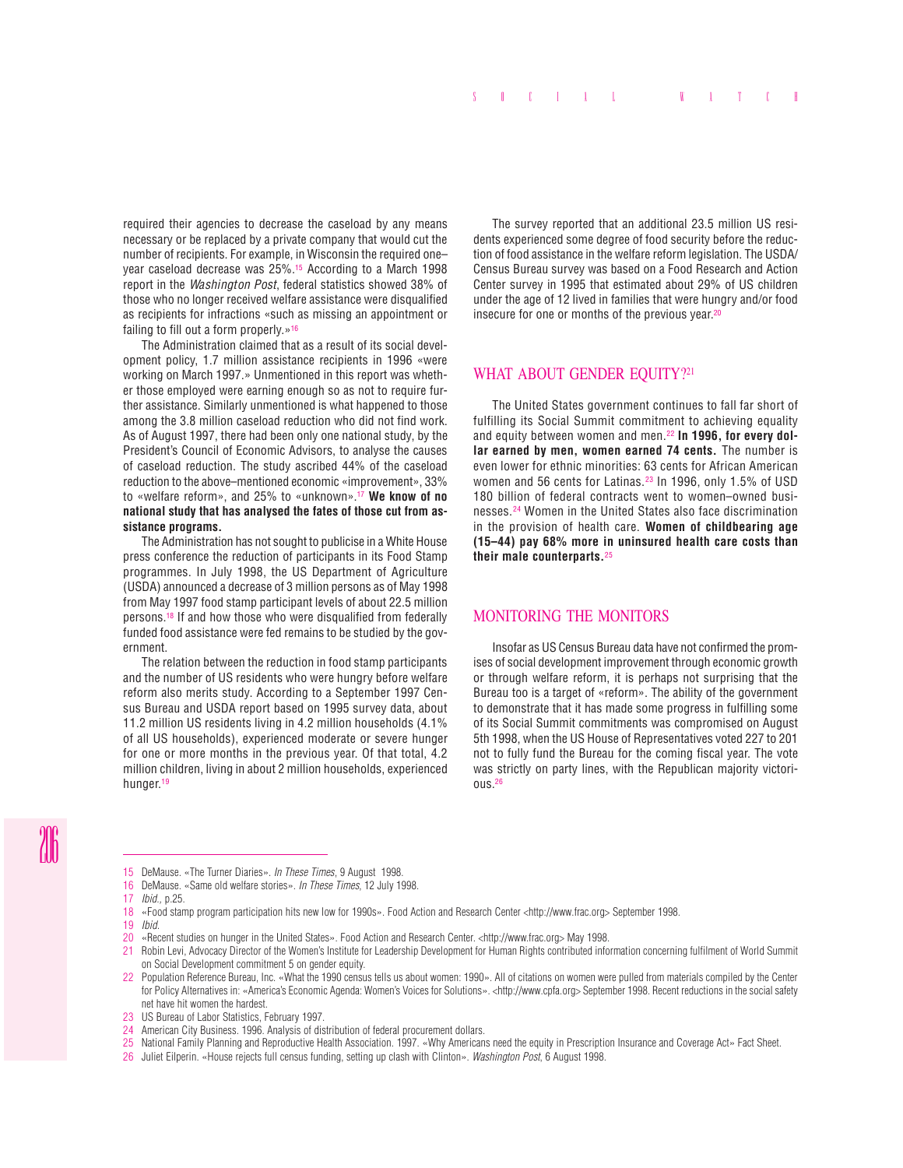required their agencies to decrease the caseload by any means necessary or be replaced by a private company that would cut the number of recipients. For example, in Wisconsin the required one– year caseload decrease was 25%.15 According to a March 1998 report in the *Washington Post*, federal statistics showed 38% of those who no longer received welfare assistance were disqualified as recipients for infractions «such as missing an appointment or failing to fill out a form properly.»<sup>16</sup>

The Administration claimed that as a result of its social development policy, 1.7 million assistance recipients in 1996 «were working on March 1997.» Unmentioned in this report was whether those employed were earning enough so as not to require further assistance. Similarly unmentioned is what happened to those among the 3.8 million caseload reduction who did not find work. As of August 1997, there had been only one national study, by the President's Council of Economic Advisors, to analyse the causes of caseload reduction. The study ascribed 44% of the caseload reduction to the above–mentioned economic «improvement», 33% to «welfare reform», and 25% to «unknown».17 **We know of no national study that has analysed the fates of those cut from assistance programs.**

The Administration has not sought to publicise in a White House press conference the reduction of participants in its Food Stamp programmes. In July 1998, the US Department of Agriculture (USDA) announced a decrease of 3 million persons as of May 1998 from May 1997 food stamp participant levels of about 22.5 million persons.18 If and how those who were disqualified from federally funded food assistance were fed remains to be studied by the government.

The relation between the reduction in food stamp participants and the number of US residents who were hungry before welfare reform also merits study. According to a September 1997 Census Bureau and USDA report based on 1995 survey data, about 11.2 million US residents living in 4.2 million households (4.1% of all US households), experienced moderate or severe hunger for one or more months in the previous year. Of that total, 4.2 million children, living in about 2 million households, experienced hunger.19

The survey reported that an additional 23.5 million US residents experienced some degree of food security before the reduction of food assistance in the welfare reform legislation. The USDA/ Census Bureau survey was based on a Food Research and Action Center survey in 1995 that estimated about 29% of US children under the age of 12 lived in families that were hungry and/or food insecure for one or months of the previous year.20

### WHAT ABOUT GENDER EQUITY?<sup>21</sup>

The United States government continues to fall far short of fulfilling its Social Summit commitment to achieving equality and equity between women and men.22 **In 1996, for every dollar earned by men, women earned 74 cents.** The number is even lower for ethnic minorities: 63 cents for African American women and 56 cents for Latinas.23 In 1996, only 1.5% of USD 180 billion of federal contracts went to women–owned businesses.24 Women in the United States also face discrimination in the provision of health care. **Women of childbearing age (15–44) pay 68% more in uninsured health care costs than their male counterparts.**<sup>25</sup>

#### MONITORING THE MONITORS

Insofar as US Census Bureau data have not confirmed the promises of social development improvement through economic growth or through welfare reform, it is perhaps not surprising that the Bureau too is a target of «reform». The ability of the government to demonstrate that it has made some progress in fulfilling some of its Social Summit commitments was compromised on August 5th 1998, when the US House of Representatives voted 227 to 201 not to fully fund the Bureau for the coming fiscal year. The vote was strictly on party lines, with the Republican majority victorious.26

- 15 DeMause. «The Turner Diaries». *In These Times*, 9 August 1998.
- 16 DeMause. «Same old welfare stories». *In These Times*, 12 July 1998.
- 17 *Ibid.,* p.25.
- 18 «Food stamp program participation hits new low for 1990s». Food Action and Research Center <http://www.frac.org> September 1998.
- 19 *Ibid.*
- 20 «Recent studies on hunger in the United States». Food Action and Research Center. <http://www.frac.org> May 1998.
- 21 Robin Levi, Advocacy Director of the Women's Institute for Leadership Development for Human Rights contributed information concerning fulfilment of World Summit on Social Development commitment 5 on gender equity.
- 22 Population Reference Bureau, Inc. «What the 1990 census tells us about women: 1990». All of citations on women were pulled from materials compiled by the Center for Policy Alternatives in: «America's Economic Agenda: Women's Voices for Solutions». <http://www.cpfa.org> September 1998. Recent reductions in the social safety net have hit women the hardest.
- 23 US Bureau of Labor Statistics, February 1997.
- 24 American City Business. 1996. Analysis of distribution of federal procurement dollars.
- 25 National Family Planning and Reproductive Health Association. 1997. «Why Americans need the equity in Prescription Insurance and Coverage Act» Fact Sheet.
- 26 Juliet Eilperin. «House rejects full census funding, setting up clash with Clinton». *Washington Post*, 6 August 1998.